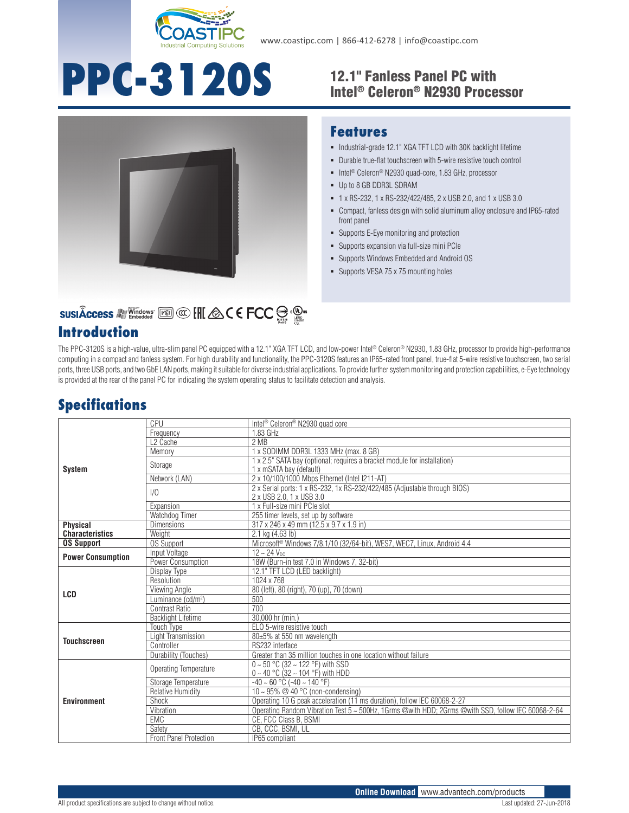

www.coastipc.com | 866-412-6278 | info@coastipc.com

# **PPC-3120S** 12.1" Fanless Panel PC with

## Intel® Celeron® N2930 Processor



#### **Features**

- $\blacksquare$  Industrial-grade 12.1" XGA TFT LCD with 30K backlight lifetime
- Durable true-flat touchscreen with 5-wire resistive touch control
- Intel<sup>®</sup> Celeron<sup>®</sup> N2930 quad-core, 1.83 GHz, processor
- Up to 8 GB DDR3L SDRAM
- 1 x RS-232, 1 x RS-232/422/485, 2 x USB 2.0, and 1 x USB 3.0
- Compact, fanless design with solid aluminum alloy enclosure and IP65-rated front panel
- **Supports E-Eye monitoring and protection**
- Supports expansion via full-size mini PCIe
- Supports Windows Embedded and Android OS
- **Supports VESA 75 x 75 mounting holes**

### SUSIÂCCESS A Vindows [60] @ [H & C E FCC S . @ .

#### **Introduction**

The PPC-3120S is a high-value, ultra-slim panel PC equipped with a 12.1" XGA TFT LCD, and low-power Intel® Celeron® N2930, 1.83 GHz, processor to provide high-performance computing in a compact and fanless system. For high durability and functionality, the PPC-3120S features an IP65-rated front panel, true-flat 5-wire resistive touchscreen, two serial ports, three USB ports, and two GbE LAN ports, making it suitable for diverse industrial applications. To provide further system monitoring and protection capabilities, e-Eye technology is provided at the rear of the panel PC for indicating the system operating status to facilitate detection and analysis.

#### **Specifications**

| <b>System</b>            | CPU                            | Intel <sup>®</sup> Celeron <sup>®</sup> N2930 quad core                                               |
|--------------------------|--------------------------------|-------------------------------------------------------------------------------------------------------|
|                          | Frequency                      | 1.83 GHz                                                                                              |
|                          | L <sub>2</sub> Cache           | 2MB                                                                                                   |
|                          | Memory                         | 1 x SODIMM DDR3L 1333 MHz (max. 8 GB)                                                                 |
|                          | Storage                        | 1 x 2.5" SATA bay (optional; requires a bracket module for installation)<br>1 x mSATA bay (default)   |
|                          | Network (LAN)                  | 2 x 10/100/1000 Mbps Ethernet (Intel I211-AT)                                                         |
|                          | 1/0                            | 2 x Serial ports: 1 x RS-232, 1x RS-232/422/485 (Adjustable through BIOS)<br>2 x USB 2.0, 1 x USB 3.0 |
|                          | Expansion                      | 1 x Full-size mini PCIe slot                                                                          |
|                          | Watchdog Timer                 | 255 timer levels, set up by software                                                                  |
| <b>Physical</b>          | <b>Dimensions</b>              | 317 x 246 x 49 mm (12.5 x 9.7 x 1.9 in)                                                               |
| <b>Characteristics</b>   | Weight                         | 2.1 kg (4.63 lb)                                                                                      |
| <b>OS Support</b>        | <b>OS Support</b>              | Microsoft <sup>®</sup> Windows 7/8.1/10 (32/64-bit), WES7, WEC7, Linux, Android 4.4                   |
| <b>Power Consumption</b> | Input Voltage                  | $12 - 24$ V <sub>nc</sub>                                                                             |
|                          | Power Consumption              | 18W (Burn-in test 7.0 in Windows 7, 32-bit)                                                           |
| LCD                      | Display Type                   | 12.1" TFT LCD (LED backlight)                                                                         |
|                          | Resolution                     | 1024 x 768                                                                                            |
|                          | Viewing Angle                  | 80 (left), 80 (right), 70 (up), 70 (down)                                                             |
|                          | Luminance (cd/m <sup>2</sup> ) | 500                                                                                                   |
|                          | Contrast Ratio                 | 700                                                                                                   |
|                          | <b>Backlight Lifetime</b>      | 30,000 hr (min.)                                                                                      |
| <b>Touchscreen</b>       | <b>Touch Type</b>              | ELO 5-wire resistive touch                                                                            |
|                          | Light Transmission             | 80±5% at 550 nm wavelength                                                                            |
|                          | Controller                     | RS232 interface                                                                                       |
|                          | Durability (Touches)           | Greater than 35 million touches in one location without failure                                       |
| <b>Environment</b>       | Operating Temperature          | $0 \sim 50$ °C (32 ~ 122 °F) with SSD<br>$0 \sim 40$ °C (32 ~ 104 °F) with HDD                        |
|                          | Storage Temperature            | $-40 \sim 60$ °C ( $-40 \sim 140$ °F)                                                                 |
|                          | <b>Relative Humidity</b>       | 10 ~ 95% $@$ 40 °C (non-condensing)                                                                   |
|                          | Shock                          | Operating 10 G peak acceleration (11 ms duration), follow IEC 60068-2-27                              |
|                          | Vibration                      | Operating Random Vibration Test 5 ~ 500Hz, 1Grms @with HDD; 2Grms @with SSD, follow IEC 60068-2-64    |
|                          | <b>EMC</b>                     | CE, FCC Class B, BSMI                                                                                 |
|                          | Safety                         | CB, CCC, BSMI, UL                                                                                     |
|                          | <b>Front Panel Protection</b>  | IP65 compliant                                                                                        |